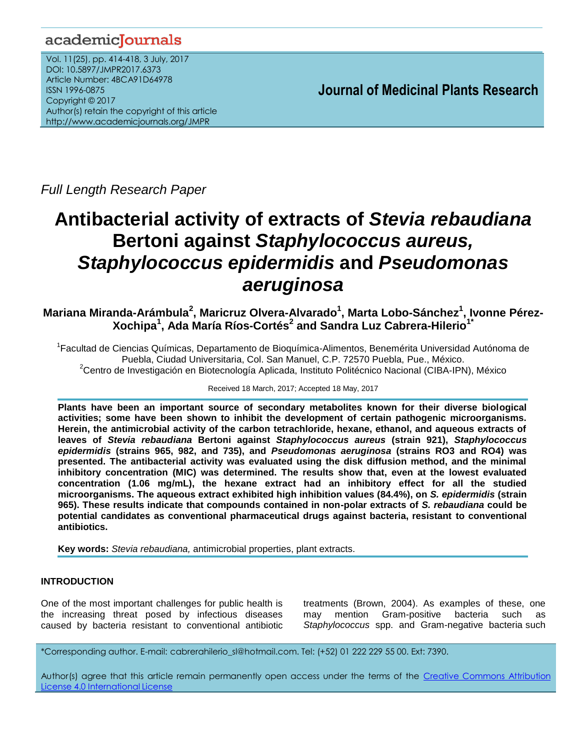## academicJournals

Vol. 11(25), pp. 414-418, 3 July, 2017 DOI: 10.5897/JMPR2017.6373 Article Number: 4BCA91D64978 ISSN 1996-0875 Copyright © 2017 Author(s) retain the copyright of this article http://www.academicjournals.org/JMPR

 **Journal of Medicinal Plants Research**

*Full Length Research Paper*

# **Antibacterial activity of extracts of** *Stevia rebaudiana* **Bertoni against** *Staphylococcus aureus, Staphylococcus epidermidis* **and** *Pseudomonas aeruginosa*

## **Mariana Miranda-Arámbula<sup>2</sup> , Maricruz Olvera-Alvarado<sup>1</sup> , Marta Lobo-Sánchez<sup>1</sup> , Ivonne Pérez-Xochipa<sup>1</sup> , Ada María Ríos-Cortés<sup>2</sup> and Sandra Luz Cabrera-Hilerio1\***

<sup>1</sup>Facultad de Ciencias Químicas, Departamento de Bioquímica-Alimentos, Benemérita Universidad Autónoma de Puebla, Ciudad Universitaria, Col. San Manuel, C.P. 72570 Puebla, Pue., México. <sup>2</sup>Centro de Investigación en Biotecnología Aplicada, Instituto Politécnico Nacional (CIBA-IPN), México

Received 18 March, 2017; Accepted 18 May, 2017

**Plants have been an important source of secondary metabolites known for their diverse biological activities; some have been shown to inhibit the development of certain pathogenic microorganisms. Herein, the antimicrobial activity of the carbon tetrachloride, hexane, ethanol, and aqueous extracts of leaves of** *Stevia rebaudiana* **Bertoni against** *Staphylococcus aureus* **(strain 921),** *Staphylococcus epidermidis* **(strains 965, 982, and 735), and** *Pseudomonas aeruginosa* **(strains RO3 and RO4) was presented. The antibacterial activity was evaluated using the disk diffusion method, and the minimal inhibitory concentration (MIC) was determined. The results show that, even at the lowest evaluated concentration (1.06 mg/mL), the hexane extract had an inhibitory effect for all the studied microorganisms. The aqueous extract exhibited high inhibition values (84.4%), on** *S. epidermidis* **(strain 965). These results indicate that compounds contained in non-polar extracts of** *S. rebaudiana* **could be potential candidates as conventional pharmaceutical drugs against bacteria, resistant to conventional antibiotics.** 

**Key words:** *Stevia rebaudiana,* antimicrobial properties, plant extracts.

## **INTRODUCTION**

One of the most important challenges for public health is the increasing threat posed by infectious diseases caused by bacteria resistant to conventional antibiotic treatments (Brown, 2004). As examples of these, one may mention Gram-positive bacteria such as *Staphylococcus* spp. and Gram-negative bacteria such

\*Corresponding author. E-mail: cabrerahilerio\_sl@hotmail.com. Tel: (+52) 01 222 229 55 00. Ext: 7390.

Author(s) agree that this article remain permanently open access under the terms of the Creative Commons Attribution License 4.0 [International](http://creativecommons.org/licenses/by/4.0/deed.en_US) License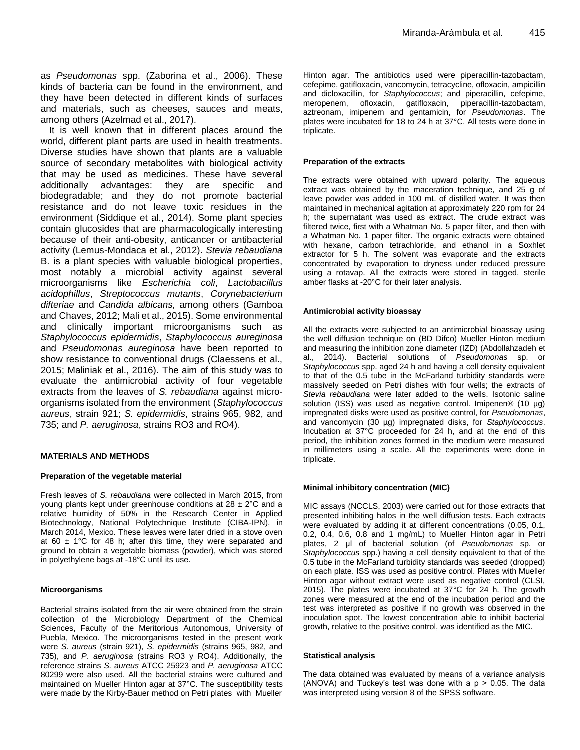as *Pseudomonas* spp. (Zaborina et al., 2006). These kinds of bacteria can be found in the environment, and they have been detected in different kinds of surfaces and materials, such as cheeses, sauces and meats, among others (Azelmad et al., 2017).

It is well known that in different places around the world, different plant parts are used in health treatments. Diverse studies have shown that plants are a valuable source of secondary metabolites with biological activity that may be used as medicines. These have several additionally advantages: they are specific and biodegradable; and they do not promote bacterial resistance and do not leave toxic residues in the environment (Siddique et al., 2014). Some plant species contain glucosides that are pharmacologically interesting because of their anti-obesity, anticancer or antibacterial activity (Lemus-Mondaca et al., 2012). *Stevia rebaudiana* B. is a plant species with valuable biological properties, most notably a microbial activity against several microorganisms like *Escherichia coli*, *Lactobacillus acidophillus*, *Streptococcus mutants*, *Corynebacterium difteriae* and *Candida albicans,* among others (Gamboa and Chaves, 2012; Mali et al., 2015). Some environmental and clinically important microorganisms such as *Staphylococcus epidermidis*, *Staphylococcus aureginosa* and *Pseudomonas aureginosa* have been reported to show resistance to conventional drugs (Claessens et al., 2015; Maliniak et al., 2016). The aim of this study was to evaluate the antimicrobial activity of four vegetable extracts from the leaves of *S. rebaudiana* against microorganisms isolated from the environment (*Staphylococcus aureus*, strain 921; *S. epidermidis*, strains 965, 982, and 735; and *P. aeruginosa*, strains RO3 and RO4).

#### **MATERIALS AND METHODS**

#### **Preparation of the vegetable material**

Fresh leaves of *S. rebaudiana* were collected in March 2015, from young plants kept under greenhouse conditions at  $28 \pm 2^{\circ}$ C and a relative humidity of 50% in the Research Center in Applied Biotechnology, National Polytechnique Institute (CIBA-IPN), in March 2014, Mexico. These leaves were later dried in a stove oven at 60  $\pm$  1°C for 48 h; after this time, they were separated and ground to obtain a vegetable biomass (powder), which was stored in polyethylene bags at -18°C until its use.

#### **Microorganisms**

Bacterial strains isolated from the air were obtained from the strain collection of the Microbiology Department of the Chemical Sciences, Faculty of the Meritorious Autonomous, University of Puebla, Mexico. The microorganisms tested in the present work were *S. aureus* (strain 921), *S. epidermidis* (strains 965, 982, and 735), and *P. aeruginosa* (strains RO3 y RO4). Additionally, the reference strains *S. aureus* ATCC 25923 and *P. aeruginosa* ATCC 80299 were also used. All the bacterial strains were cultured and maintained on Mueller Hinton agar at 37°C. The susceptibility tests were made by the Kirby-Bauer method on Petri plates with Mueller Hinton agar. The antibiotics used were piperacillin-tazobactam, cefepime, gatifloxacin, vancomycin, tetracycline, ofloxacin, ampicillin and dicloxacillin, for *Staphylococcus*; and piperacillin, cefepime, meropenem, ofloxacin, gatifloxacin, piperacillin-tazobactam, aztreonam, imipenem and gentamicin, for *Pseudomonas*. The plates were incubated for 18 to 24 h at 37°C. All tests were done in triplicate.

#### **Preparation of the extracts**

The extracts were obtained with upward polarity. The aqueous extract was obtained by the maceration technique, and 25 g of leave powder was added in 100 mL of distilled water. It was then maintained in mechanical agitation at approximately 220 rpm for 24 h; the supernatant was used as extract. The crude extract was filtered twice, first with a Whatman No. 5 paper filter, and then with a Whatman No. 1 paper filter. The organic extracts were obtained with hexane, carbon tetrachloride, and ethanol in a Soxhlet extractor for 5 h. The solvent was evaporate and the extracts concentrated by evaporation to dryness under reduced pressure using a rotavap. All the extracts were stored in tagged, sterile amber flasks at -20°C for their later analysis.

#### **Antimicrobial activity bioassay**

All the extracts were subjected to an antimicrobial bioassay using the well diffusion technique on (BD Difco) Mueller Hinton medium and measuring the inhibition zone diameter (IZD) (Abdollahzadeh et al., 2014). Bacterial solutions of *Pseudomonas* sp. or *Staphylococcus* spp. aged 24 h and having a cell density equivalent to that of the 0.5 tube in the McFarland turbidity standards were massively seeded on Petri dishes with four wells; the extracts of *Stevia rebaudiana* were later added to the wells. Isotonic saline solution (ISS) was used as negative control. Imipenen<sup>®</sup> (10 µg) impregnated disks were used as positive control, for *Pseudomonas*, and vancomycin (30 µg) impregnated disks, for *Staphylococcus*. Incubation at 37°C proceeded for 24 h, and at the end of this period, the inhibition zones formed in the medium were measured in millimeters using a scale. All the experiments were done in triplicate.

#### **Minimal inhibitory concentration (MIC)**

MIC assays (NCCLS, 2003) were carried out for those extracts that presented inhibiting halos in the well diffusion tests. Each extracts were evaluated by adding it at different concentrations (0.05, 0.1, 0.2, 0.4, 0.6, 0.8 and 1 mg/mL) to Mueller Hinton agar in Petri plates, 2 μl of bacterial solution (of *Pseudomonas* sp. or *Staphylococcus* spp.) having a cell density equivalent to that of the 0.5 tube in the McFarland turbidity standards was seeded (dropped) on each plate. ISS was used as positive control. Plates with Mueller Hinton agar without extract were used as negative control (CLSI, 2015). The plates were incubated at 37°C for 24 h. The growth zones were measured at the end of the incubation period and the test was interpreted as positive if no growth was observed in the inoculation spot. The lowest concentration able to inhibit bacterial growth, relative to the positive control, was identified as the MIC.

#### **Statistical analysis**

The data obtained was evaluated by means of a variance analysis  $(ANOVA)$  and Tuckey's test was done with a  $p > 0.05$ . The data was interpreted using version 8 of the SPSS software.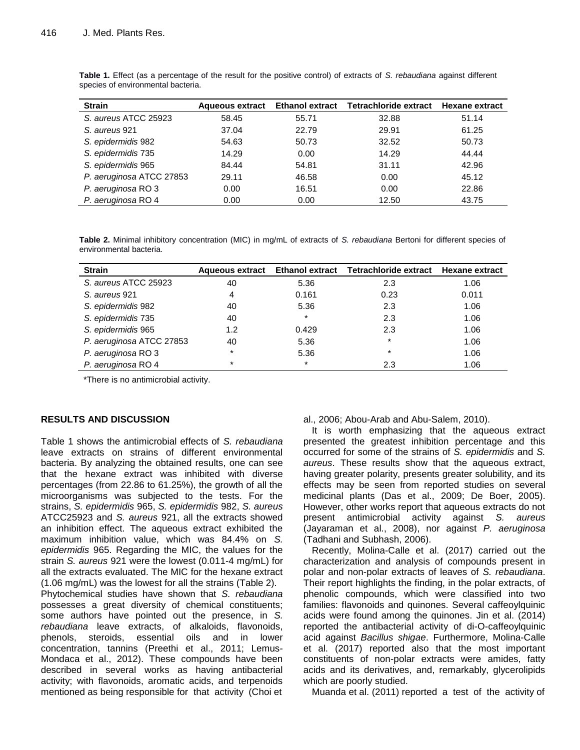| <b>Strain</b>            |       |       | Aqueous extract Ethanol extract Tetrachloride extract Hexane extract |       |
|--------------------------|-------|-------|----------------------------------------------------------------------|-------|
| S. aureus ATCC 25923     | 58.45 | 55.71 | 32.88                                                                | 51.14 |
| S. aureus 921            | 37.04 | 22.79 | 29.91                                                                | 61.25 |
| S. epidermidis 982       | 54.63 | 50.73 | 32.52                                                                | 50.73 |
| S. epidermidis 735       | 14.29 | 0.00  | 14.29                                                                | 44.44 |
| S. epidermidis 965       | 84.44 | 54.81 | 31.11                                                                | 42.96 |
| P. aeruginosa ATCC 27853 | 29.11 | 46.58 | 0.00                                                                 | 45.12 |
| P. aeruginosa RO 3       | 0.00  | 16.51 | 0.00                                                                 | 22.86 |
| P. aeruginosa RO 4       | 0.00  | 0.00  | 12.50                                                                | 43.75 |

**Table 1.** Effect (as a percentage of the result for the positive control) of extracts of *S. rebaudiana* against different species of environmental bacteria.

**Table 2.** Minimal inhibitory concentration (MIC) in mg/mL of extracts of *S. rebaudiana* Bertoni for different species of environmental bacteria.

| <b>Strain</b>            |         |        | Aqueous extract Ethanol extract Tetrachloride extract Hexane extract |       |
|--------------------------|---------|--------|----------------------------------------------------------------------|-------|
| S. aureus ATCC 25923     | 40      | 5.36   | 2.3                                                                  | 1.06  |
| S. aureus 921            | 4       | 0.161  | 0.23                                                                 | 0.011 |
| S. epidermidis 982       | 40      | 5.36   | 2.3                                                                  | 1.06  |
| S. epidermidis 735       | 40      | $\ast$ | 2.3                                                                  | 1.06  |
| S. epidermidis 965       | 1.2     | 0.429  | 2.3                                                                  | 1.06  |
| P. aeruginosa ATCC 27853 | 40      | 5.36   | $\star$                                                              | 1.06  |
| P. aeruginosa RO 3       | $\star$ | 5.36   | $\star$                                                              | 1.06  |
| P. aeruginosa RO 4       | $\ast$  | $\ast$ | 2.3                                                                  | 1.06  |

\*There is no antimicrobial activity.

## **RESULTS AND DISCUSSION**

Table 1 shows the antimicrobial effects of *S. rebaudiana* leave extracts on strains of different environmental bacteria. By analyzing the obtained results, one can see that the hexane extract was inhibited with diverse percentages (from 22.86 to 61.25%), the growth of all the microorganisms was subjected to the tests. For the strains, *S. epidermidis* 965, *S. epidermidis* 982, *S. aureus*  ATCC25923 and *S. aureus* 921, all the extracts showed an inhibition effect. The aqueous extract exhibited the maximum inhibition value, which was 84.4% on *S. epidermidis* 965. Regarding the MIC, the values for the strain *S. aureus* 921 were the lowest (0.011-4 mg/mL) for all the extracts evaluated. The MIC for the hexane extract (1.06 mg/mL) was the lowest for all the strains (Table 2). Phytochemical studies have shown that *S. rebaudiana* possesses a great diversity of chemical constituents; some authors have pointed out the presence, in *S. rebaudiana* leave extracts, of alkaloids, flavonoids, phenols, steroids, essential oils and in lower concentration, tannins (Preethi et al., 2011; Lemus-Mondaca et al., 2012). These compounds have been described in several works as having antibacterial activity; with flavonoids, aromatic acids, and terpenoids

mentioned as being responsible for that activity (Choi et

al., 2006; Abou-Arab and Abu-Salem, 2010).

It is worth emphasizing that the aqueous extract presented the greatest inhibition percentage and this occurred for some of the strains of *S. epidermidis* and *S. aureus*. These results show that the aqueous extract, having greater polarity, presents greater solubility, and its effects may be seen from reported studies on several medicinal plants (Das et al., 2009; De Boer, 2005). However, other works report that aqueous extracts do not present antimicrobial activity against *S. aureus* (Jayaraman et al., 2008), nor against *P. aeruginosa* (Tadhani and Subhash, 2006).

Recently, Molina-Calle et al. (2017) carried out the characterization and analysis of compounds present in polar and non-polar extracts of leaves of *S. rebaudiana*. Their report highlights the finding, in the polar extracts, of phenolic compounds, which were classified into two families: flavonoids and quinones. Several caffeoylquinic acids were found among the quinones. Jin et al. (2014) reported the antibacterial activity of di-O-caffeoylquinic acid against *Bacillus shigae*. Furthermore, Molina-Calle et al. (2017) reported also that the most important constituents of non-polar extracts were amides, fatty acids and its derivatives, and, remarkably, glycerolipids which are poorly studied.

Muanda et al. (2011) reported a test of the activity of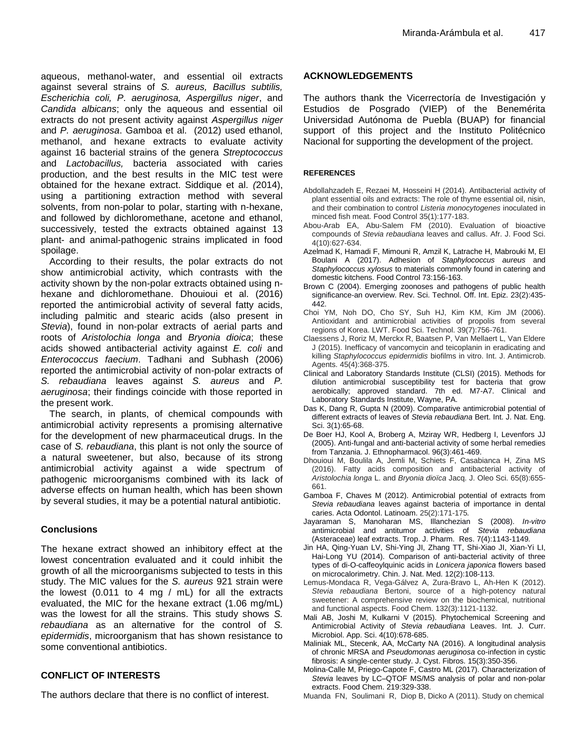aqueous, methanol-water, and essential oil extracts against several strains of *S. aureus, Bacillus subtilis, Escherichia coli, P. aeruginosa, Aspergillus niger*, and *Candida albicans*; only the aqueous and essential oil extracts do not present activity against *Aspergillus niger* and *P. aeruginosa*. Gamboa et al. (2012) used ethanol, methanol, and hexane extracts to evaluate activity against 16 bacterial strains of the genera *Streptococcus* and *Lactobacillus,* bacteria associated with caries production, and the best results in the MIC test were obtained for the hexane extract. Siddique et al. *(*2014), using a partitioning extraction method with several solvents, from non-polar to polar, starting with n-hexane, and followed by dichloromethane, acetone and ethanol, successively, tested the extracts obtained against 13 plant- and animal-pathogenic strains implicated in food spoilage.

According to their results, the polar extracts do not show antimicrobial activity, which contrasts with the activity shown by the non-polar extracts obtained using nhexane and dichloromethane. Dhouioui et al. (2016) reported the antimicrobial activity of several fatty acids, including palmitic and stearic acids (also present in *Stevia*), found in non-polar extracts of aerial parts and roots of *Aristolochia longa* and *Bryonia dioica*; these acids showed antibacterial activity against *E. coli* and *Enterococcus faecium*. Tadhani and Subhash (2006) reported the antimicrobial activity of non-polar extracts of *S. rebaudiana* leaves against *S. aureus* and *P. aeruginosa*; their findings coincide with those reported in the present work.

The search, in plants, of chemical compounds with antimicrobial activity represents a promising alternative for the development of new pharmaceutical drugs. In the case of *S. rebaudiana*, this plant is not only the source of a natural sweetener, but also, because of its strong antimicrobial activity against a wide spectrum of pathogenic microorganisms combined with its lack of adverse effects on human health, which has been shown by several studies, it may be a potential natural antibiotic.

## **Conclusions**

The hexane extract showed an inhibitory effect at the lowest concentration evaluated and it could inhibit the growth of all the microorganisms subjected to tests in this study. The MIC values for the *S. aureus* 921 strain were the lowest (0.011 to 4 mg / mL) for all the extracts evaluated, the MIC for the hexane extract (1.06 mg/mL) was the lowest for all the strains. This study shows *S. rebaudiana* as an alternative for the control of *S. epidermidis*, microorganism that has shown resistance to some conventional antibiotics.

## **CONFLICT OF INTERESTS**

The authors declare that there is no conflict of interest.

## **ACKNOWLEDGEMENTS**

The authors thank the Vicerrectoría de Investigación y Estudios de Posgrado (VIEP) of the Benemérita Universidad Autónoma de Puebla (BUAP) for financial support of this project and the Instituto Politécnico Nacional for supporting the development of the project.

### **REFERENCES**

- Abdollahzadeh E, Rezaei M, Hosseini H (2014). Antibacterial activity of plant essential oils and extracts: The role of thyme essential oil, nisin, and their combination to control *Listeria monocytogenes* inoculated in minced fish meat. Food Control 35(1):177-183.
- Abou-Arab EA, Abu-Salem FM (2010). Evaluation of bioactive compounds of *Stevia rebaudiana* leaves and callus. Afr. J. Food Sci. 4(10):627-634.
- Azelmad K, Hamadi F, Mimouni R, Amzil K, Latrache H, Mabrouki M, El Boulani A (2017). Adhesion of *Staphylococcus aureus* and *Staphylococcus xylosus* to materials commonly found in catering and domestic kitchens. Food Control 73:156-163.
- Brown C (2004). Emerging zoonoses and pathogens of public health significance-an overview. Rev. Sci. Technol. Off. Int. Epiz. 23(2):435- 442.
- Choi YM, Noh DO, Cho SY, Suh HJ, Kim KM, Kim JM (2006). Antioxidant and antimicrobial activities of propolis from several regions of Korea. LWT. Food Sci. Technol. 39(7):756-761.
- Claessens J, Roriz M, Merckx R, Baatsen P, Van Mellaert L, Van Eldere J (2015). Inefficacy of vancomycin and teicoplanin in eradicating and killing *Staphylococcus epidermidis* biofilms in vitro. Int. J. Antimicrob. Agents. 45(4):368-375.
- Clinical and Laboratory Standards Institute (CLSI) (2015). Methods for dilution antimicrobial susceptibility test for bacteria that grow aerobically; approved standard. 7th ed. M7-A7. Clinical and Laboratory Standards Institute, Wayne, PA.
- Das K, Dang R, Gupta N (2009). Comparative antimicrobial potential of different extracts of leaves of *Stevia rebaudiana* Bert. Int. J. Nat. Eng. Sci. 3(1):65-68.
- De Boer HJ, Kool A, Broberg A, Mziray WR, Hedberg I, Levenfors JJ (2005). Anti-fungal and anti-bacterial activity of some herbal remedies from Tanzania. J. Ethnopharmacol. 96(3):461-469.
- Dhouioui M, Boulila A, Jemli M, Schiets F, Casabianca H, Zina MS (2016). Fatty acids composition and antibacterial activity of *Aristolochia longa* L. and *Bryonia dioïca* Jacq. J. Oleo Sci. 65(8):655- 661.
- Gamboa F, Chaves M (2012). Antimicrobial potential of extracts from *Stevia rebaudiana* leaves against bacteria of importance in dental caries. Acta Odontol. Latinoam. 25(2):171-175*.*
- Jayaraman S, Manoharan MS, Illanchezian S (2008). *In-vitro* antimicrobial and antitumor activities of (Asteraceae) leaf extracts. Trop. J. Pharm. Res. 7(4):1143-1149*.*
- Jin HA, Qing-Yuan LV, Shi-Ying JI, Zhang TT, Shi-Xiao JI, Xian-Yi LI, Hai-Long YU (2014). Comparison of anti-bacterial activity of three types of di-O-caffeoylquinic acids in *Lonicera japonica* flowers based on microcalorimetry. Chin. J. Nat. Med. 12(2):108-113.
- Lemus-Mondaca R, Vega-Gálvez A, Zura-Bravo L, Ah-Hen K (2012). *Stevia rebaudiana* Bertoni, source of a high-potency natural sweetener: A comprehensive review on the biochemical, nutritional and functional aspects. Food Chem. 132(3):1121-1132.
- Mali AB, Joshi M, Kulkarni V (2015). Phytochemical Screening and Antimicrobial Activity of *Stevia rebaudiana* Leaves. Int. J. Curr. Microbiol. App. Sci. 4(10):678-685.
- Maliniak ML, Stecenk, AA, McCarty NA (2016). A longitudinal analysis of chronic MRSA and *Pseudomonas aeruginosa* co-infection in cystic fibrosis: A single-center study. J. Cyst. Fibros. 15(3):350-356.
- Molina-Calle M, Priego-Capote F, Castro ML (2017). Characterization of *Stevia* leaves by LC–QTOF MS/MS analysis of polar and non-polar extracts. Food Chem. 219:329-338.
- Muanda FN, Soulimani R, Diop B, Dicko A (2011). Study on chemical